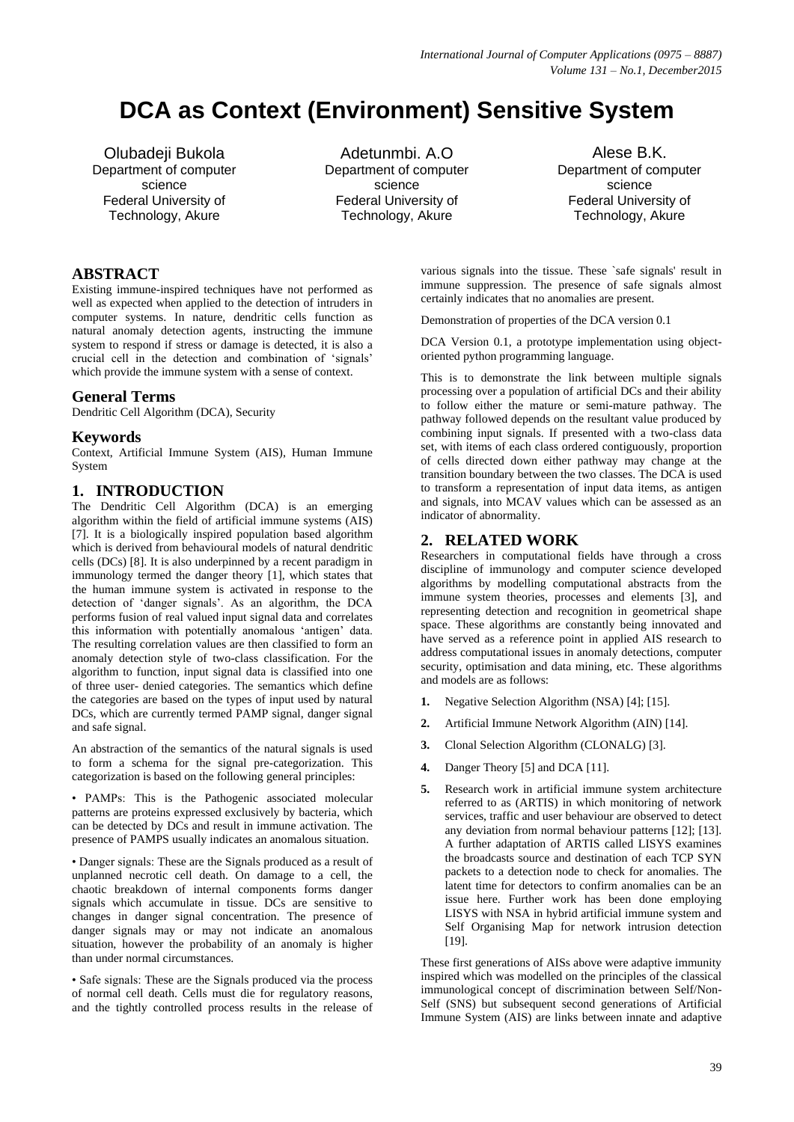# **DCA as Context (Environment) Sensitive System**

Olubadeji Bukola Department of computer science Federal University of Technology, Akure

Adetunmbi. A.O Department of computer science Federal University of Technology, Akure

Alese B.K. Department of computer science Federal University of Technology, Akure

# **ABSTRACT**

Existing immune-inspired techniques have not performed as well as expected when applied to the detection of intruders in computer systems. In nature, dendritic cells function as natural anomaly detection agents, instructing the immune system to respond if stress or damage is detected, it is also a crucial cell in the detection and combination of "signals" which provide the immune system with a sense of context.

# **General Terms**

Dendritic Cell Algorithm (DCA), Security

# **Keywords**

Context, Artificial Immune System (AIS), Human Immune System

# **1. INTRODUCTION**

The Dendritic Cell Algorithm (DCA) is an emerging algorithm within the field of artificial immune systems (AIS) [7]. It is a biologically inspired population based algorithm which is derived from behavioural models of natural dendritic cells (DCs) [8]. It is also underpinned by a recent paradigm in immunology termed the danger theory [1], which states that the human immune system is activated in response to the detection of "danger signals". As an algorithm, the DCA performs fusion of real valued input signal data and correlates this information with potentially anomalous "antigen" data. The resulting correlation values are then classified to form an anomaly detection style of two-class classification. For the algorithm to function, input signal data is classified into one of three user- denied categories. The semantics which define the categories are based on the types of input used by natural DCs, which are currently termed PAMP signal, danger signal and safe signal.

An abstraction of the semantics of the natural signals is used to form a schema for the signal pre-categorization. This categorization is based on the following general principles:

• PAMPs: This is the Pathogenic associated molecular patterns are proteins expressed exclusively by bacteria, which can be detected by DCs and result in immune activation. The presence of PAMPS usually indicates an anomalous situation.

• Danger signals: These are the Signals produced as a result of unplanned necrotic cell death. On damage to a cell, the chaotic breakdown of internal components forms danger signals which accumulate in tissue. DCs are sensitive to changes in danger signal concentration. The presence of danger signals may or may not indicate an anomalous situation, however the probability of an anomaly is higher than under normal circumstances.

• Safe signals: These are the Signals produced via the process of normal cell death. Cells must die for regulatory reasons, and the tightly controlled process results in the release of various signals into the tissue. These `safe signals' result in immune suppression. The presence of safe signals almost certainly indicates that no anomalies are present.

Demonstration of properties of the DCA version 0.1

DCA Version 0.1, a prototype implementation using objectoriented python programming language.

This is to demonstrate the link between multiple signals processing over a population of artificial DCs and their ability to follow either the mature or semi-mature pathway. The pathway followed depends on the resultant value produced by combining input signals. If presented with a two-class data set, with items of each class ordered contiguously, proportion of cells directed down either pathway may change at the transition boundary between the two classes. The DCA is used to transform a representation of input data items, as antigen and signals, into MCAV values which can be assessed as an indicator of abnormality.

# **2. RELATED WORK**

Researchers in computational fields have through a cross discipline of immunology and computer science developed algorithms by modelling computational abstracts from the immune system theories, processes and elements [3], and representing detection and recognition in geometrical shape space. These algorithms are constantly being innovated and have served as a reference point in applied AIS research to address computational issues in anomaly detections, computer security, optimisation and data mining, etc. These algorithms and models are as follows:

- **1.** Negative Selection Algorithm (NSA) [4]; [15].
- **2.** Artificial Immune Network Algorithm (AIN) [14].
- **3.** Clonal Selection Algorithm (CLONALG) [3].
- **4.** Danger Theory [5] and DCA [11].
- **5.** Research work in artificial immune system architecture referred to as (ARTIS) in which monitoring of network services, traffic and user behaviour are observed to detect any deviation from normal behaviour patterns [12]; [13]. A further adaptation of ARTIS called LISYS examines the broadcasts source and destination of each TCP SYN packets to a detection node to check for anomalies. The latent time for detectors to confirm anomalies can be an issue here. Further work has been done employing LISYS with NSA in hybrid artificial immune system and Self Organising Map for network intrusion detection [19].

These first generations of AISs above were adaptive immunity inspired which was modelled on the principles of the classical immunological concept of discrimination between Self/Non-Self (SNS) but subsequent second generations of Artificial Immune System (AIS) are links between innate and adaptive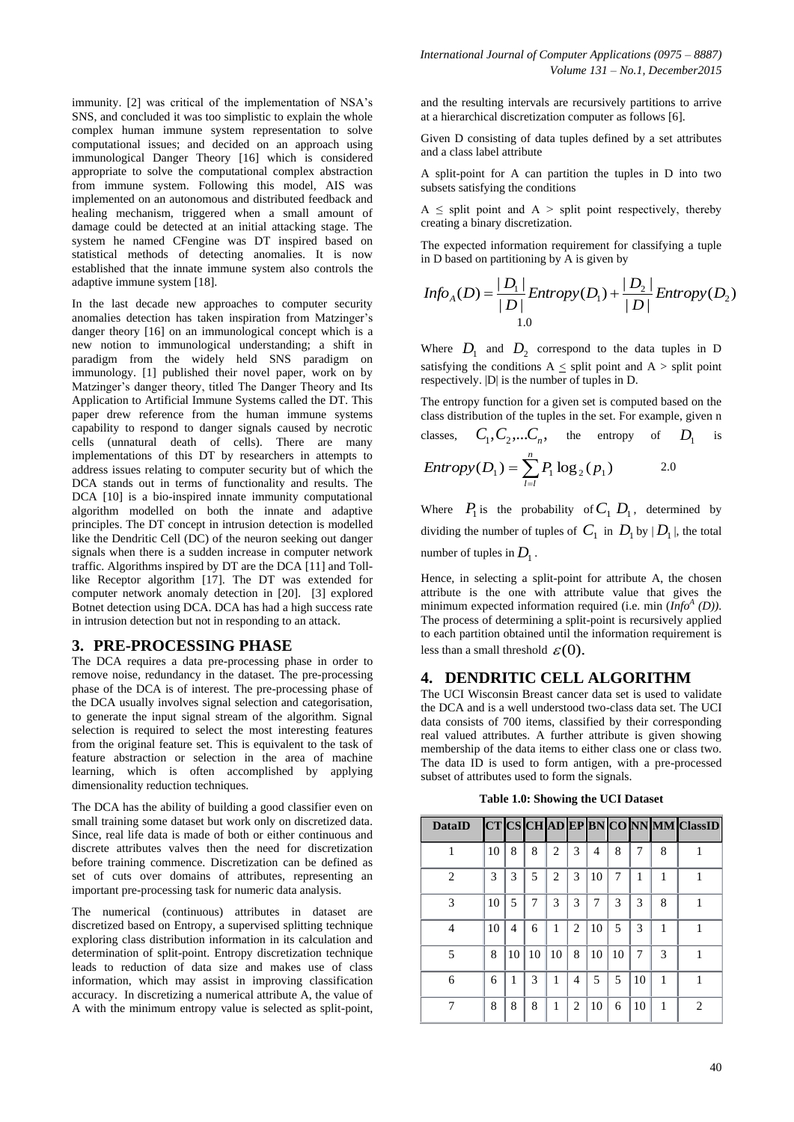immunity. [2] was critical of the implementation of NSA's SNS, and concluded it was too simplistic to explain the whole complex human immune system representation to solve computational issues; and decided on an approach using immunological Danger Theory [16] which is considered appropriate to solve the computational complex abstraction from immune system. Following this model, AIS was implemented on an autonomous and distributed feedback and healing mechanism, triggered when a small amount of damage could be detected at an initial attacking stage. The system he named CFengine was DT inspired based on statistical methods of detecting anomalies. It is now established that the innate immune system also controls the adaptive immune system [18].

In the last decade new approaches to computer security anomalies detection has taken inspiration from Matzinger"s danger theory [16] on an immunological concept which is a new notion to immunological understanding; a shift in paradigm from the widely held SNS paradigm on immunology. [1] published their novel paper, work on by Matzinger's danger theory, titled The Danger Theory and Its Application to Artificial Immune Systems called the DT. This paper drew reference from the human immune systems capability to respond to danger signals caused by necrotic cells (unnatural death of cells). There are many implementations of this DT by researchers in attempts to address issues relating to computer security but of which the DCA stands out in terms of functionality and results. The DCA [10] is a bio-inspired innate immunity computational algorithm modelled on both the innate and adaptive principles. The DT concept in intrusion detection is modelled like the Dendritic Cell (DC) of the neuron seeking out danger signals when there is a sudden increase in computer network traffic. Algorithms inspired by DT are the DCA [11] and Tolllike Receptor algorithm [17]. The DT was extended for computer network anomaly detection in [20]. [3] explored Botnet detection using DCA. DCA has had a high success rate in intrusion detection but not in responding to an attack.

## **3. PRE-PROCESSING PHASE**

The DCA requires a data pre-processing phase in order to remove noise, redundancy in the dataset. The pre-processing phase of the DCA is of interest. The pre-processing phase of the DCA usually involves signal selection and categorisation, to generate the input signal stream of the algorithm. Signal selection is required to select the most interesting features from the original feature set. This is equivalent to the task of feature abstraction or selection in the area of machine learning, which is often accomplished by applying dimensionality reduction techniques.

The DCA has the ability of building a good classifier even on small training some dataset but work only on discretized data. Since, real life data is made of both or either continuous and discrete attributes valves then the need for discretization before training commence. Discretization can be defined as set of cuts over domains of attributes, representing an important pre-processing task for numeric data analysis.

The numerical (continuous) attributes in dataset are discretized based on Entropy, a supervised splitting technique exploring class distribution information in its calculation and determination of split-point. Entropy discretization technique leads to reduction of data size and makes use of class information, which may assist in improving classification accuracy. In discretizing a numerical attribute A, the value of A with the minimum entropy value is selected as split-point,

and the resulting intervals are recursively partitions to arrive at a hierarchical discretization computer as follows [6].

Given D consisting of data tuples defined by a set attributes and a class label attribute

A split-point for A can partition the tuples in D into two subsets satisfying the conditions

 $A \leq$  split point and  $A >$  split point respectively, thereby creating a binary discretization.

The expected information requirement for classifying a tuple in D based on partitioning by A is given by

$$
Info_A(D) = \frac{|D_1|}{|D|} Entropy(D_1) + \frac{|D_2|}{|D|} Entropy(D_2)
$$
  
1.0

Where  $D_1$  and  $D_2$  correspond to the data tuples in D satisfying the conditions  $A \leq$  split point and  $A >$  split point respectively. |D| is the number of tuples in D.

The entropy function for a given set is computed based on the class distribution of the tuples in the set. For example, given n classes,  $C_1, C_2,... C_n$ , the entropy of  $D_1$ is  $=\sum_{l=l}^{n}$  $Entropy(D_1) = \sum_{l=l} P_1 \log_2(p_1)$ 2.0

Where  $P_1$  is the probability of  $C_1$   $D_1$ , determined by dividing the number of tuples of  $C_1$  in  $D_1$  by  $|D_1|$ , the total number of tuples in  $D_1$ .

Hence, in selecting a split-point for attribute A, the chosen attribute is the one with attribute value that gives the minimum expected information required (i.e. min  $(Info<sup>A</sup> (D))$ ). The process of determining a split-point is recursively applied to each partition obtained until the information requirement is less than a small threshold  $\varepsilon(0)$ .

## **4. DENDRITIC CELL ALGORITHM**

The UCI Wisconsin Breast cancer data set is used to validate the DCA and is a well understood two-class data set. The UCI data consists of 700 items, classified by their corresponding real valued attributes. A further attribute is given showing membership of the data items to either class one or class two. The data ID is used to form antigen, with a pre-processed subset of attributes used to form the signals.

**Table 1.0: Showing the UCI Dataset**

| <b>DataID</b>  |    |    |    |                |                |    |    |    |   | CT CS CH AD EP BN CONN MM ClassID |
|----------------|----|----|----|----------------|----------------|----|----|----|---|-----------------------------------|
|                | 10 | 8  | 8  | $\overline{c}$ | 3              | 4  | 8  |    | 8 |                                   |
| $\overline{c}$ | 3  | 3  | 5  | 2              | 3              | 10 | 7  | 1  | 1 |                                   |
| 3              | 10 | 5  | 7  | 3              | 3              |    | 3  | 3  | 8 |                                   |
| 4              | 10 | 4  | 6  | 1              | $\overline{c}$ | 10 | 5  | 3  | 1 |                                   |
| 5              | 8  | 10 | 10 | 10             | 8              | 10 | 10 | 7  | 3 |                                   |
| 6              | 6  |    | 3  | 1              | 4              | 5  | 5  | 10 | 1 |                                   |
|                | 8  | 8  | 8  | 1              | 2              | 10 | 6  | 10 | 1 | $\mathfrak{D}$                    |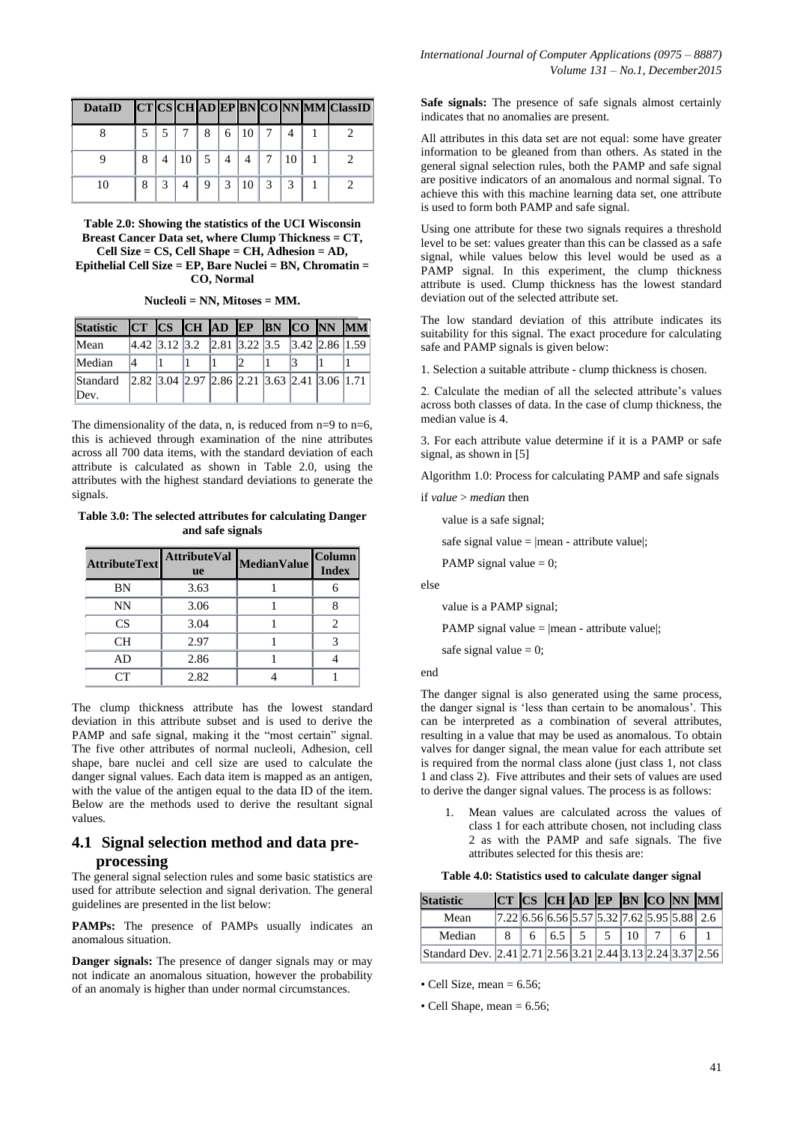| DataID CTCSCHADEPBNCONNMMClassID |  |                                                       |  |  |  |  |
|----------------------------------|--|-------------------------------------------------------|--|--|--|--|
|                                  |  | $5 \mid 5 \mid 7 \mid 8 \mid 6 \mid 10 \mid 7 \mid 4$ |  |  |  |  |
|                                  |  | 8 4 10 5 4 4 7 10                                     |  |  |  |  |
|                                  |  | 8 3 4 9 3 10 3 3 1                                    |  |  |  |  |

**Table 2.0: Showing the statistics of the UCI Wisconsin Breast Cancer Data set, where Clump Thickness = CT, Cell Size = CS, Cell Shape = CH, Adhesion = AD, Epithelial Cell Size = EP, Bare Nuclei = BN, Chromatin = CO, Normal**

#### **Nucleoli = NN, Mitoses = MM.**

| <b>Statistic</b> |  | CT CS CH AD EP BN CO NN MM                                                                               |  |  |  |
|------------------|--|----------------------------------------------------------------------------------------------------------|--|--|--|
| Mean             |  | $\vert 4.42 \vert 3.12 \vert 3.2 \vert 2.81 \vert 3.22 \vert 3.5 \vert 3.42 \vert 2.86 \vert 1.59 \vert$ |  |  |  |
| Median           |  |                                                                                                          |  |  |  |
| Standard<br>Dev. |  | $\left 2.82\right 3.04\left 2.97\right 2.86\left 2.21\right 3.63\left 2.41\right 3.06\left 1.71\right $  |  |  |  |

The dimensionality of the data, n, is reduced from  $n=9$  to  $n=6$ , this is achieved through examination of the nine attributes across all 700 data items, with the standard deviation of each attribute is calculated as shown in Table 2.0, using the attributes with the highest standard deviations to generate the signals.

**Table 3.0: The selected attributes for calculating Danger and safe signals**

| <b>AttributeText</b> | <b>AttributeVal</b><br><b>ue</b> | <b>MedianValue</b> | <b>Column</b><br><b>Index</b> |
|----------------------|----------------------------------|--------------------|-------------------------------|
| BN                   | 3.63                             |                    |                               |
| NN                   | 3.06                             |                    |                               |
| CS                   | 3.04                             |                    |                               |
| <b>CH</b>            | 2.97                             |                    |                               |
| AD                   | 2.86                             |                    |                               |
|                      | 2.82                             |                    |                               |

The clump thickness attribute has the lowest standard deviation in this attribute subset and is used to derive the PAMP and safe signal, making it the "most certain" signal. The five other attributes of normal nucleoli, Adhesion, cell shape, bare nuclei and cell size are used to calculate the danger signal values. Each data item is mapped as an antigen, with the value of the antigen equal to the data ID of the item. Below are the methods used to derive the resultant signal values.

## **4.1 Signal selection method and data preprocessing**

The general signal selection rules and some basic statistics are used for attribute selection and signal derivation. The general guidelines are presented in the list below:

PAMPs: The presence of PAMPs usually indicates an anomalous situation.

**Danger signals:** The presence of danger signals may or may not indicate an anomalous situation, however the probability of an anomaly is higher than under normal circumstances.

**Safe signals:** The presence of safe signals almost certainly indicates that no anomalies are present.

All attributes in this data set are not equal: some have greater information to be gleaned from than others. As stated in the general signal selection rules, both the PAMP and safe signal are positive indicators of an anomalous and normal signal. To achieve this with this machine learning data set, one attribute is used to form both PAMP and safe signal.

Using one attribute for these two signals requires a threshold level to be set: values greater than this can be classed as a safe signal, while values below this level would be used as a PAMP signal. In this experiment, the clump thickness attribute is used. Clump thickness has the lowest standard deviation out of the selected attribute set.

The low standard deviation of this attribute indicates its suitability for this signal. The exact procedure for calculating safe and PAMP signals is given below:

1. Selection a suitable attribute - clump thickness is chosen.

2. Calculate the median of all the selected attribute"s values across both classes of data. In the case of clump thickness, the median value is 4.

3. For each attribute value determine if it is a PAMP or safe signal, as shown in [5]

Algorithm 1.0: Process for calculating PAMP and safe signals

if *value* > *median* then

value is a safe signal;

safe signal value =  $|mean - attribute value|$ ;

PAMP signal value  $= 0$ ;

else

value is a PAMP signal;

PAMP signal value  $=$  |mean - attribute value|;

safe signal value  $= 0$ ;

end

The danger signal is also generated using the same process, the danger signal is 'less than certain to be anomalous'. This can be interpreted as a combination of several attributes, resulting in a value that may be used as anomalous. To obtain valves for danger signal, the mean value for each attribute set is required from the normal class alone (just class 1, not class 1 and class 2). Five attributes and their sets of values are used to derive the danger signal values. The process is as follows:

1. Mean values are calculated across the values of class 1 for each attribute chosen, not including class 2 as with the PAMP and safe signals. The five attributes selected for this thesis are:

#### **Table 4.0: Statistics used to calculate danger signal**

| <b>Statistic</b>                                           |  |                                                                 |  |  | $CT$ CS CH AD EP BN CO NN MM |
|------------------------------------------------------------|--|-----------------------------------------------------------------|--|--|------------------------------|
| Mean                                                       |  | $[7.22]$ 6.56 $[6.56]$ 5.57 $[5.32]$ 7.62 $[5.95]$ 5.88 $[2.6]$ |  |  |                              |
| Median                                                     |  |                                                                 |  |  |                              |
| Standard Dev. 2.41 2.71 2.56 3.21 2.44 3.13 2.24 3.37 2.56 |  |                                                                 |  |  |                              |

• Cell Size, mean  $= 6.56$ ;

• Cell Shape, mean  $= 6.56$ ;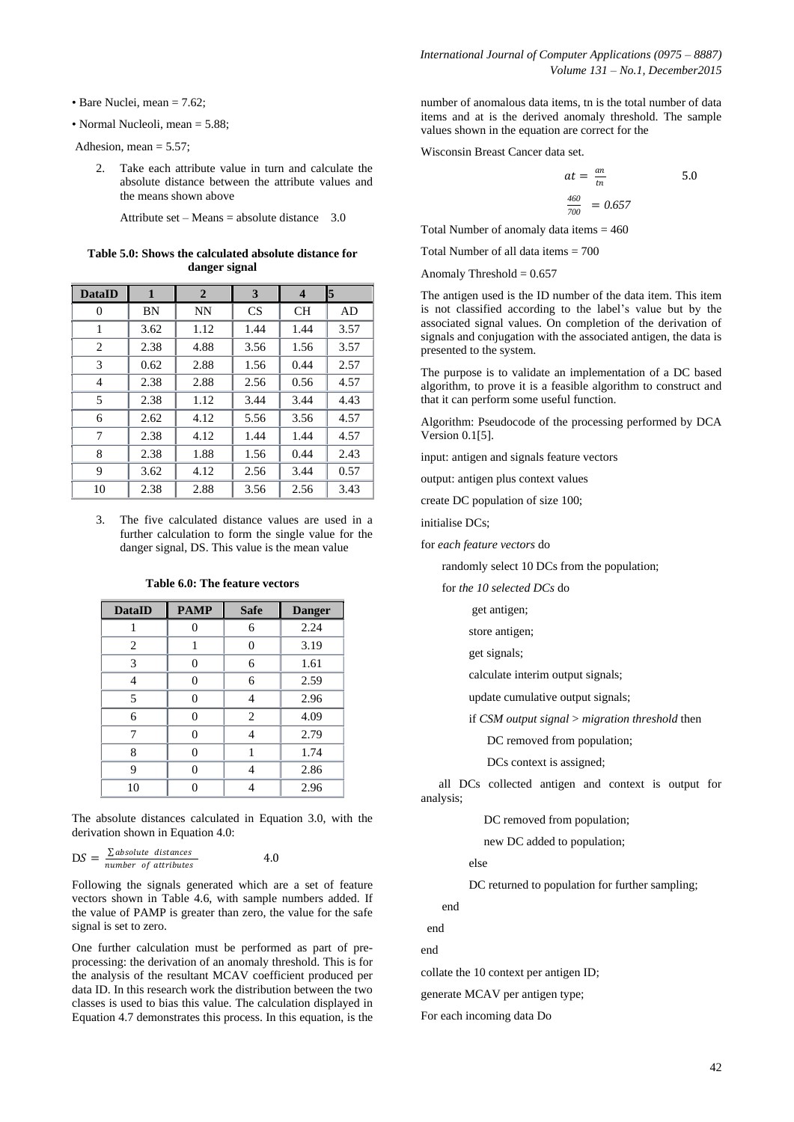- Bare Nuclei, mean = 7.62;
- Normal Nucleoli, mean = 5.88;

Adhesion, mean  $= 5.57$ ;

2. Take each attribute value in turn and calculate the absolute distance between the attribute values and the means shown above

Attribute set – Means = absolute distance  $3.0$ 

**Table 5.0: Shows the calculated absolute distance for danger signal**

| <b>DataID</b>  | $\mathbf{1}$ | $\overline{2}$ | 3         | $\overline{\mathbf{4}}$ | 5    |
|----------------|--------------|----------------|-----------|-------------------------|------|
| 0              | BN           | <b>NN</b>      | <b>CS</b> | <b>CH</b>               | AD   |
| 1              | 3.62         | 1.12           | 1.44      | 1.44                    | 3.57 |
| 2              | 2.38         | 4.88           | 3.56      | 1.56                    | 3.57 |
| 3              | 0.62         | 2.88           | 1.56      | 0.44                    | 2.57 |
| $\overline{4}$ | 2.38         | 2.88           | 2.56      | 0.56                    | 4.57 |
| 5              | 2.38         | 1.12           | 3.44      | 3.44                    | 4.43 |
| 6              | 2.62         | 4.12           | 5.56      | 3.56                    | 4.57 |
| 7              | 2.38         | 4.12           | 1.44      | 1.44                    | 4.57 |
| 8              | 2.38         | 1.88           | 1.56      | 0.44                    | 2.43 |
| 9              | 3.62         | 4.12           | 2.56      | 3.44                    | 0.57 |
| 10             | 2.38         | 2.88           | 3.56      | 2.56                    | 3.43 |

3. The five calculated distance values are used in a further calculation to form the single value for the danger signal, DS. This value is the mean value

| <b>DataID</b> | <b>PAMP</b> | <b>Safe</b> | <b>Danger</b> |
|---------------|-------------|-------------|---------------|
|               | 0           | 6           | 2.24          |
| 2             | 1           | 0           | 3.19          |
| 3             | 0           | 6           | 1.61          |
| 4             | 0           | 6           | 2.59          |
| 5             | 0           | 4           | 2.96          |
| 6             | 0           | 2           | 4.09          |
| 7             | 0           | 4           | 2.79          |
| 8             | 0           |             | 1.74          |
| 9             | 0           | 4           | 2.86          |
| 10            |             |             | 2.96          |

**Table 6.0: The feature vectors**

The absolute distances calculated in Equation 3.0, with the derivation shown in Equation 4.0:

$$
DS = \frac{\sum absolute \text{ distance}}{number \text{ of attributes}} \qquad 4.0
$$

Following the signals generated which are a set of feature vectors shown in Table 4.6, with sample numbers added. If the value of PAMP is greater than zero, the value for the safe signal is set to zero.

One further calculation must be performed as part of preprocessing: the derivation of an anomaly threshold. This is for the analysis of the resultant MCAV coefficient produced per data ID. In this research work the distribution between the two classes is used to bias this value. The calculation displayed in Equation 4.7 demonstrates this process. In this equation, is the

number of anomalous data items, tn is the total number of data items and at is the derived anomaly threshold. The sample values shown in the equation are correct for the

Wisconsin Breast Cancer data set.

$$
at = \frac{an}{tn}
$$
  

$$
\frac{460}{700} = 0.657
$$

Total Number of anomaly data items  $= 460$ 

Total Number of all data items  $= 700$ 

Anomaly Threshold  $= 0.657$ 

The antigen used is the ID number of the data item. This item is not classified according to the label"s value but by the associated signal values. On completion of the derivation of signals and conjugation with the associated antigen, the data is presented to the system.

The purpose is to validate an implementation of a DC based algorithm, to prove it is a feasible algorithm to construct and that it can perform some useful function.

Algorithm: Pseudocode of the processing performed by DCA Version 0.1[5].

input: antigen and signals feature vectors

output: antigen plus context values

create DC population of size 100;

initialise DCs;

for *each feature vectors* do

randomly select 10 DCs from the population;

for *the 10 selected DCs* do

get antigen;

store antigen;

get signals;

calculate interim output signals;

update cumulative output signals;

if *CSM output signal* > *migration threshold* then

DC removed from population;

DCs context is assigned;

 all DCs collected antigen and context is output for analysis;

DC removed from population;

new DC added to population;

else

DC returned to population for further sampling;

end

end

end

collate the 10 context per antigen ID;

generate MCAV per antigen type;

For each incoming data Do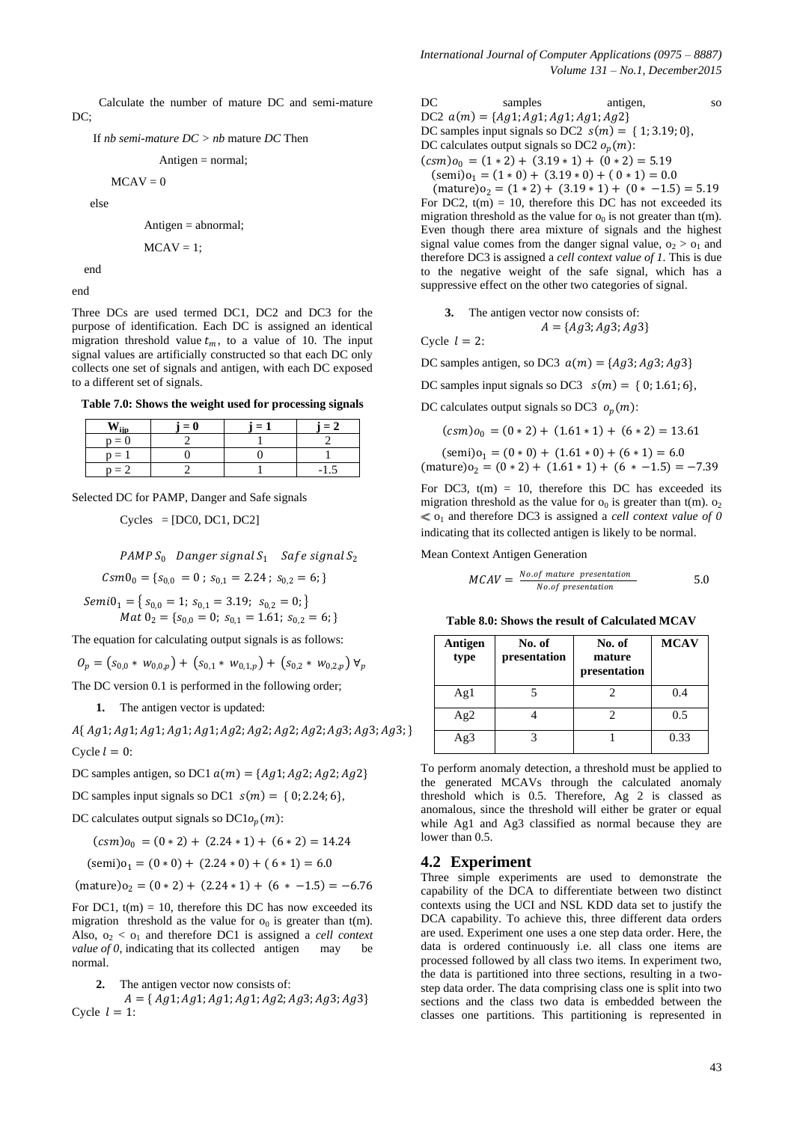Calculate the number of mature DC and semi-mature DC:

If *nb semi-mature DC > nb* mature *DC* Then

$$
Antigen = normal;
$$

 $MCAV = 0$ 

else

Antigen = abnormal;

$$
MCAV=1;
$$

end

end

Three DCs are used termed DC1, DC2 and DC3 for the purpose of identification. Each DC is assigned an identical migration threshold value  $t_m$ , to a value of 10. The input signal values are artificially constructed so that each DC only collects one set of signals and antigen, with each DC exposed to a different set of signals.

**Table 7.0: Shows the weight used for processing signals**

|         | $= 0$ | ' = . | $-$ |
|---------|-------|-------|-----|
| $p = 0$ |       |       |     |
| $p = 1$ |       |       |     |
| $n = 2$ |       |       |     |

Selected DC for PAMP, Danger and Safe signals

 $Cycles = [DC0, DC1, DC2]$ 

PAMP  $S_0$  Danger signal  $S_1$  Safe signal  $S_2$ 

 $Csm0_0 = \{s_{0,0} = 0 \; ; \; s_{0,1} = 2.24 \; ; \; s_{0,2} = 6 \}$ 

 $Semi0<sub>1</sub> = {s<sub>0,0</sub> = 1; s<sub>0,1</sub> = 3.19; s<sub>0,2</sub> = 0;}$ *Mat*  $0_2 = \{s_{0,0} = 0; s_{0,1} = 1.61; s_{0,2} = 6; \}$ 

The equation for calculating output signals is as follows:

 $O_p = (s_{0.0} * w_{0.0,p}) + (s_{0.1} * w_{0.1,p}) + (s_{0.2} * w_{0.2,p}) \forall_p$ 

The DC version 0.1 is performed in the following order;

**1.** The antigen vector is updated:

 $A\{Ag1; Ag1; Ag1; Ag1; Ag1; Ag1; Ag2; Ag2; Ag2; Ag2; Ag3; Ag3; Ag3;$ Cycle  $l = 0$ :

DC samples antigen, so DC1  $a(m) = \{Ag1; Ag2; Ag2; Ag2\}$ 

DC samples input signals so DC1  $s(m) = \{0, 2.24, 6\}$ ,

DC calculates output signals so  $DCl_0(m)$ :

$$
(csm)o_0 = (0 * 2) + (2.24 * 1) + (6 * 2) = 14.24
$$

$$
(\text{semi})o_1 = (0 \times 0) + (2.24 \times 0) + (6 \times 1) = 6.0
$$

 $(\text{mature})_{0} = (0 * 2) + (2.24 * 1) + (6 * -1.5) = -6.76$ 

For DC1,  $t(m) = 10$ , therefore this DC has now exceeded its migration threshold as the value for  $o_0$  is greater than t(m). Also,  $o_2 < o_1$  and therefore DC1 is assigned a *cell context value of 0*, indicating that its collected antigen may be normal.

**2.** The antigen vector now consists of:

 $A = \{ Ag1; Ag1; Ag1; Ag1; Ag2; Ag3; Ag3; Ag3 \}$ Cycle  $l = 1$ :

| DC | samples | antigen, | SO |
|----|---------|----------|----|
|    |         |          |    |

DC2  $a(m) = {Ag1; Ag1; Ag1; Ag1; Ag1; Ag2}$ DC samples input signals so DC2  $s(m) = \{1, 3.19, 0\}$ ,

DC calculates output signals so DC2  $o_n(m)$ :

 $(csm)_{0} = (1 * 2) + (3.19 * 1) + (0 * 2) = 5.19$ 

 $(semi) o<sub>1</sub> = (1 * 0) + (3.19 * 0) + (0 * 1) = 0.0$ 

 $(\text{mature})$  $o_2 = (1 * 2) + (3.19 * 1) + (0 * -1.5) = 5.19$ 

For DC2,  $t(m) = 10$ , therefore this DC has not exceeded its migration threshold as the value for  $o_0$  is not greater than t(m). Even though there area mixture of signals and the highest signal value comes from the danger signal value,  $o_2 > o_1$  and therefore DC3 is assigned a *cell context value of 1*. This is due to the negative weight of the safe signal, which has a suppressive effect on the other two categories of signal.

3. The antigen vector now consists of:  

$$
A = \{Ag3; Ag3; Ag3\}
$$

Cycle  $l = 2$ :

DC samples antigen, so DC3  $a(m) = \{Aq3; Aq3; Aq3\}$ 

DC samples input signals so DC3  $s(m) = \{0, 1.61, 6\}$ ,

DC calculates output signals so DC3  $o_n(m)$ :

$$
(csm)o_0 = (0 * 2) + (1.61 * 1) + (6 * 2) = 13.61
$$

$$
(\text{semi})o_1 = (0 \times 0) + (1.61 \times 0) + (6 \times 1) = 6.0
$$
  
(mature) $o_2 = (0 \times 2) + (1.61 \times 1) + (6 \times -1.5) = -7.39$ 

For DC3,  $t(m) = 10$ , therefore this DC has exceeded its migration threshold as the value for  $o_0$  is greater than t(m).  $o_2$  $\leq$   $o_1$  and therefore DC3 is assigned a *cell context value of 0* indicating that its collected antigen is likely to be normal.

Mean Context Antigen Generation

$$
MCAV = \frac{No. of mature presentation}{No. of presentation}
$$
 5.0

**Table 8.0: Shows the result of Calculated MCAV**

| Antigen<br>type | No. of<br>presentation | No. of<br>mature<br>presentation | <b>MCAV</b> |
|-----------------|------------------------|----------------------------------|-------------|
| Ag1             |                        |                                  | 0.4         |
| Ag2             |                        |                                  | 0.5         |
|                 |                        |                                  | 0.33        |

To perform anomaly detection, a threshold must be applied to the generated MCAVs through the calculated anomaly threshold which is 0.5. Therefore, Ag 2 is classed as anomalous, since the threshold will either be grater or equal while Ag1 and Ag3 classified as normal because they are lower than 0.5.

## **4.2 Experiment**

Three simple experiments are used to demonstrate the capability of the DCA to differentiate between two distinct contexts using the UCI and NSL KDD data set to justify the DCA capability. To achieve this, three different data orders are used. Experiment one uses a one step data order. Here, the data is ordered continuously i.e. all class one items are processed followed by all class two items. In experiment two, the data is partitioned into three sections, resulting in a twostep data order. The data comprising class one is split into two sections and the class two data is embedded between the classes one partitions. This partitioning is represented in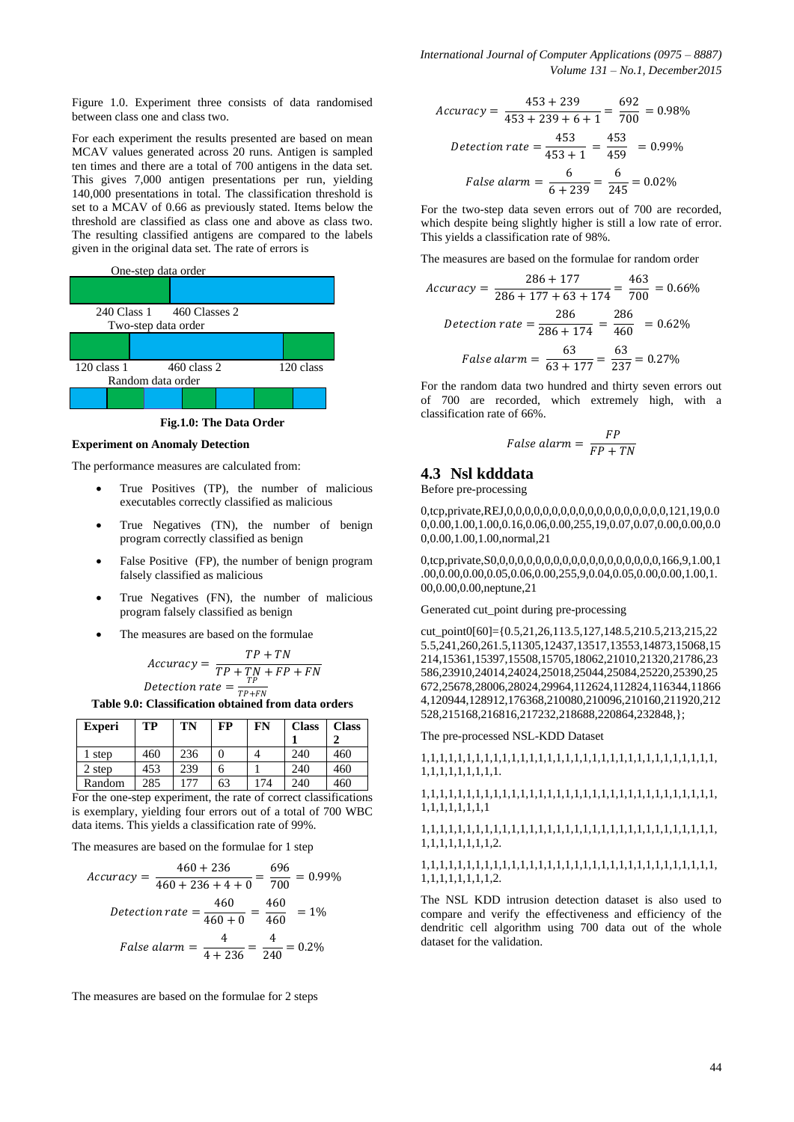Figure 1.0. Experiment three consists of data randomised between class one and class two.

For each experiment the results presented are based on mean MCAV values generated across 20 runs. Antigen is sampled ten times and there are a total of 700 antigens in the data set. This gives 7,000 antigen presentations per run, yielding 140,000 presentations in total. The classification threshold is set to a MCAV of 0.66 as previously stated. Items below the threshold are classified as class one and above as class two. The resulting classified antigens are compared to the labels given in the original data set. The rate of errors is



**Fig.1.0: The Data Order**

## **Experiment on Anomaly Detection**

The performance measures are calculated from:

- True Positives (TP), the number of malicious executables correctly classified as malicious
- True Negatives (TN), the number of benign program correctly classified as benign
- False Positive (FP), the number of benign program falsely classified as malicious
- True Negatives (FN), the number of malicious program falsely classified as benign
- The measures are based on the formulae

$$
Accuracy = \frac{TP + TN}{TP + TN + FP + FN}
$$
  

$$
Detection \ rate = \frac{TP}{TP + FN}
$$

+ **Table 9.0: Classification obtained from data orders**

| <b>Experi</b> | TP  | TN  | FP | FN  | <b>Class</b> | <b>Class</b> |
|---------------|-----|-----|----|-----|--------------|--------------|
|               |     |     |    |     |              |              |
| step          | 460 | 236 |    |     | 240          | 460          |
| 2 step        | 453 | 239 | h  |     | 240          | 460          |
| Random        | 285 | 177 | 63 | 174 | 240          | 460          |

For the one-step experiment, the rate of correct classifications is exemplary, yielding four errors out of a total of 700 WBC data items. This yields a classification rate of 99%.

The measures are based on the formulae for 1 step

$$
Accuracy = \frac{460 + 236}{460 + 236 + 4 + 0} = \frac{696}{700} = 0.99\%
$$
  

$$
Detection \ rate = \frac{460}{460 + 0} = \frac{460}{460} = 1\%
$$
  

$$
False \ alarm = \frac{4}{4 + 236} = \frac{4}{240} = 0.2\%
$$

The measures are based on the formulae for 2 steps

$$
Accuracy = \frac{453 + 239}{453 + 239 + 6 + 1} = \frac{692}{700} = 0.98\%
$$
  

$$
Detection \ rate = \frac{453}{453 + 1} = \frac{453}{459} = 0.99\%
$$
  

$$
False \ alarm = \frac{6}{6 + 239} = \frac{6}{245} = 0.02\%
$$

For the two-step data seven errors out of 700 are recorded, which despite being slightly higher is still a low rate of error. This yields a classification rate of 98%.

The measures are based on the formulae for random order

$$
Accuracy = \frac{286 + 177}{286 + 177 + 63 + 174} = \frac{463}{700} = 0.66\%
$$
\n
$$
Detection\ rate = \frac{286}{286 + 174} = \frac{286}{460} = 0.62\%
$$
\n
$$
False\ alarm = \frac{63}{63 + 177} = \frac{63}{237} = 0.27\%
$$

For the random data two hundred and thirty seven errors out of 700 are recorded, which extremely high, with a classification rate of 66%.

$$
False~alarm = \frac{FP}{FP + TN}
$$

## **4.3 Nsl kdddata**

Before pre-processing

0,tcp,private,REJ,0,0,0,0,0,0,0,0,0,0,0,0,0,0,0,0,0,0,121,19,0.0  $0,0.00,1.00,1.00,0.16,0.06,0.00,255,19,0.07,0.07,0.00,0.00,0.0$ 0,0.00,1.00,1.00,normal,21

0,tcp,private,S0,0,0,0,0,0,0,0,0,0,0,0,0,0,0,0,0,0,0,166,9,1.00,1 .00,0.00,0.00,0.05,0.06,0.00,255,9,0.04,0.05,0.00,0.00,1.00,1. 00,0.00,0.00,neptune,21

Generated cut point during pre-processing

cut\_point0[60]={0.5,21,26,113.5,127,148.5,210.5,213,215,22 5.5,241,260,261.5,11305,12437,13517,13553,14873,15068,15 214,15361,15397,15508,15705,18062,21010,21320,21786,23 586,23910,24014,24024,25018,25044,25084,25220,25390,25 672,25678,28006,28024,29964,112624,112824,116344,11866 4,120944,128912,176368,210080,210096,210160,211920,212 528,215168,216816,217232,218688,220864,232848,};

The pre-processed NSL-KDD Dataset

1,1,1,1,1,1,1,1,1,1,1,1,1,1,1,1,1,1,1,1,1,1,1,1,1,1,1,1,1,1,1,1,1, 1,1,1,1,1,1,1,1,1.

1,1,1,1,1,1,1,1,1,1,1,1,1,1,1,1,1,1,1,1,1,1,1,1,1,1,1,1,1,1,1,1,1, 1,1,1,1,1,1,1,1

## 1,1,1,1,1,1,1,1,1,1,1,1,1,1,1,1,1,1,1,1,1,1,1,1,1,1,1,1,1,1,1,1,1, 1,1,1,1,1,1,1,1,2.

#### 1,1,1,1,1,1,1,1,1,1,1,1,1,1,1,1,1,1,1,1,1,1,1,1,1,1,1,1,1,1,1,1,1, 1,1,1,1,1,1,1,1,2.

The NSL KDD intrusion detection dataset is also used to compare and verify the effectiveness and efficiency of the dendritic cell algorithm using 700 data out of the whole dataset for the validation.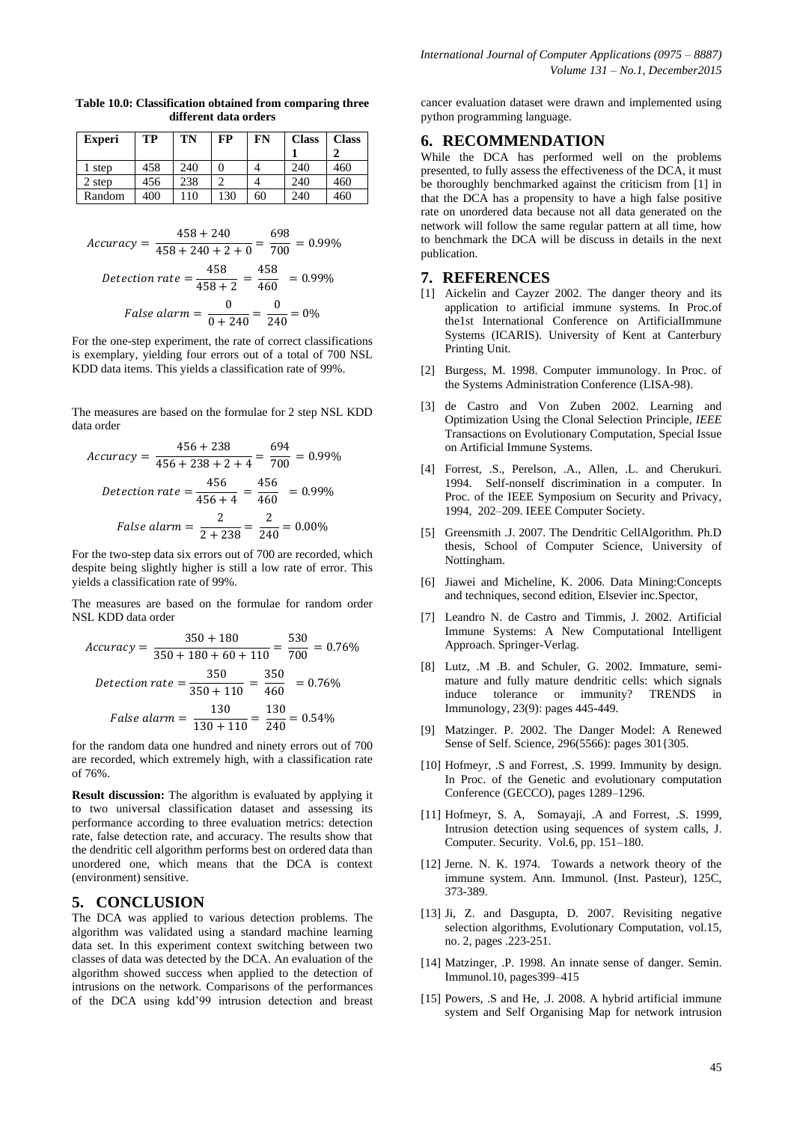| <b>Experi</b> | TP  | TN  | FP  | FN | <b>Class</b> | <b>Class</b> |
|---------------|-----|-----|-----|----|--------------|--------------|
|               |     |     |     |    |              |              |
| 1 step        | 458 | 240 |     |    | 240          | 460          |
| 2 step        | 456 | 238 |     |    | 240          | 460          |
| Random        | 400 | 110 | 130 | 60 | 240          | 460          |

**Table 10.0: Classification obtained from comparing three different data orders**

$$
Accuracy = \frac{458 + 240}{458 + 240 + 2 + 0} = \frac{698}{700} = 0.99\%
$$
  

$$
Detection \ rate = \frac{458}{458 + 2} = \frac{458}{460} = 0.99\%
$$
  

$$
False \ alarm = \frac{0}{0 + 240} = \frac{0}{240} = 0\%
$$

For the one-step experiment, the rate of correct classifications is exemplary, yielding four errors out of a total of 700 NSL KDD data items. This yields a classification rate of 99%.

The measures are based on the formulae for 2 step NSL KDD data order

$$
Accuracy = \frac{456 + 238}{456 + 238 + 2 + 4} = \frac{694}{700} = 0.99\%
$$
  

$$
Detection\ rate = \frac{456}{456 + 4} = \frac{456}{460} = 0.99\%
$$
  

$$
False\ alarm = \frac{2}{2 + 238} = \frac{2}{240} = 0.00\%
$$

For the two-step data six errors out of 700 are recorded, which despite being slightly higher is still a low rate of error. This yields a classification rate of 99%.

The measures are based on the formulae for random order NSL KDD data order

$$
Accuracy = \frac{350 + 180}{350 + 180 + 60 + 110} = \frac{530}{700} = 0.76\%
$$
\n
$$
Detection\ rate = \frac{350}{350 + 110} = \frac{350}{460} = 0.76\%
$$
\n
$$
False\ alarm = \frac{130}{130 + 110} = \frac{130}{240} = 0.54\%
$$

for the random data one hundred and ninety errors out of 700 are recorded, which extremely high, with a classification rate of 76%.

**Result discussion:** The algorithm is evaluated by applying it to two universal classification dataset and assessing its performance according to three evaluation metrics: detection rate, false detection rate, and accuracy. The results show that the dendritic cell algorithm performs best on ordered data than unordered one, which means that the DCA is context (environment) sensitive.

## **5. CONCLUSION**

The DCA was applied to various detection problems. The algorithm was validated using a standard machine learning data set. In this experiment context switching between two classes of data was detected by the DCA. An evaluation of the algorithm showed success when applied to the detection of intrusions on the network. Comparisons of the performances of the DCA using kdd"99 intrusion detection and breast cancer evaluation dataset were drawn and implemented using python programming language.

# **6. RECOMMENDATION**

While the DCA has performed well on the problems presented, to fully assess the effectiveness of the DCA, it must be thoroughly benchmarked against the criticism from [1] in that the DCA has a propensity to have a high false positive rate on unordered data because not all data generated on the network will follow the same regular pattern at all time, how to benchmark the DCA will be discuss in details in the next publication.

## **7. REFERENCES**

- [1] Aickelin and Cayzer 2002. The danger theory and its application to artificial immune systems. In Proc.of the1st International Conference on ArtificialImmune Systems (ICARIS). University of Kent at Canterbury Printing Unit.
- [2] Burgess, M. 1998. Computer immunology. In Proc. of the Systems Administration Conference (LISA-98).
- [3] de Castro and Von Zuben 2002. Learning and Optimization Using the Clonal Selection Principle, *IEEE*  Transactions on Evolutionary Computation, Special Issue on Artificial Immune Systems.
- [4] Forrest, .S., Perelson, .A., Allen, .L. and Cherukuri. 1994. Self-nonself discrimination in a computer. In Proc. of the IEEE Symposium on Security and Privacy, 1994, 202–209. IEEE Computer Society.
- [5] Greensmith .J. 2007. The Dendritic CellAlgorithm. Ph.D thesis, School of Computer Science, University of Nottingham.
- [6] Jiawei and Micheline, K. 2006. Data Mining:Concepts and techniques, second edition, Elsevier inc.Spector,
- [7] Leandro N. de Castro and Timmis, J. 2002. Artificial Immune Systems: A New Computational Intelligent Approach. Springer-Verlag.
- [8] Lutz, .M .B. and Schuler, G. 2002. Immature, semimature and fully mature dendritic cells: which signals induce tolerance or immunity? TRENDS in Immunology, 23(9): pages 445-449.
- [9] Matzinger. P. 2002. The Danger Model: A Renewed Sense of Self. Science, 296(5566): pages 301{305.
- [10] Hofmeyr, .S and Forrest, .S. 1999. Immunity by design. In Proc. of the Genetic and evolutionary computation Conference (GECCO), pages 1289–1296.
- [11] Hofmeyr, S. A, Somayaji, .A and Forrest, .S. 1999, Intrusion detection using sequences of system calls, J. Computer. Security. Vol.6, pp. 151–180.
- [12] Jerne. N. K. 1974. Towards a network theory of the immune system. Ann. Immunol. (Inst. Pasteur), 125C, 373-389.
- [13] Ji, Z. and Dasgupta, D. 2007. Revisiting negative selection algorithms, Evolutionary Computation, vol.15, no. 2, pages .223-251.
- [14] Matzinger, .P. 1998. An innate sense of danger. Semin. Immunol.10, pages399–415
- [15] Powers, .S and He, .J. 2008. A hybrid artificial immune system and Self Organising Map for network intrusion